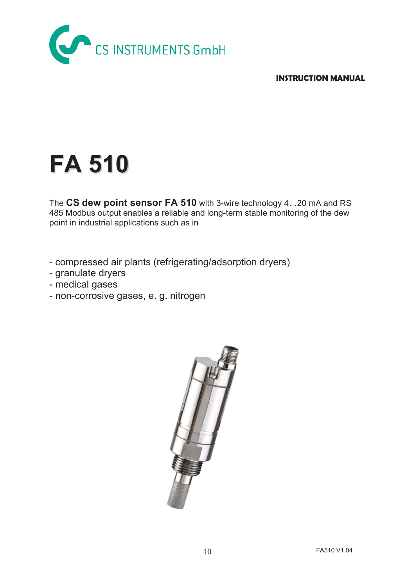

**INSTRUCTION MANUAL** 

# **FA 510**

The **CS dew point sensor FA 510** with 3-wire technology 4…20 mA and RS 485 Modbus output enables a reliable and long-term stable monitoring of the dew point in industrial applications such as in

- compressed air plants (refrigerating/adsorption dryers)
- granulate dryers
- medical gases
- non-corrosive gases, e. g. nitrogen

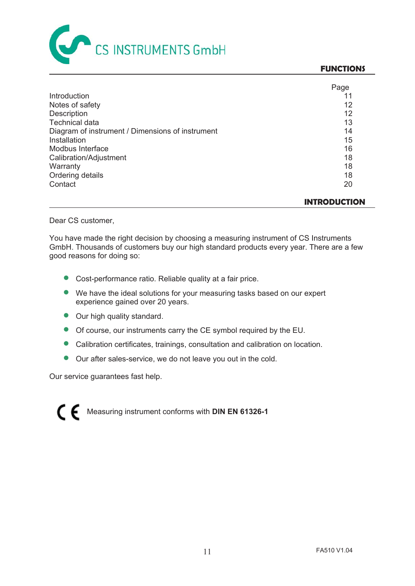

#### **FUNCTIONS**

|                                                  | Page |
|--------------------------------------------------|------|
| Introduction                                     |      |
| Notes of safety                                  | 12   |
| Description                                      | 12   |
| <b>Technical data</b>                            | 13   |
| Diagram of instrument / Dimensions of instrument | 14   |
| Installation                                     | 15   |
| Modbus Interface                                 | 16   |
| Calibration/Adjustment                           | 18   |
| Warranty                                         | 18   |
| Ordering details                                 | 18   |
| Contact                                          | 20   |
|                                                  |      |

**INTRODUCTION** 

Dear CS customer,

You have made the right decision by choosing a measuring instrument of CS Instruments GmbH. Thousands of customers buy our high standard products every year. There are a few good reasons for doing so:

- Cost-performance ratio. Reliable quality at a fair price.
- We have the ideal solutions for your measuring tasks based on our expert experience gained over 20 years.
- Our high quality standard.
- Of course, our instruments carry the CE symbol required by the EU.
- Calibration certificates, trainings, consultation and calibration on location.
- **Our after sales-service, we do not leave you out in the cold.**

Our service guarantees fast help.

Measuring instrument conforms with **DIN EN 61326-1**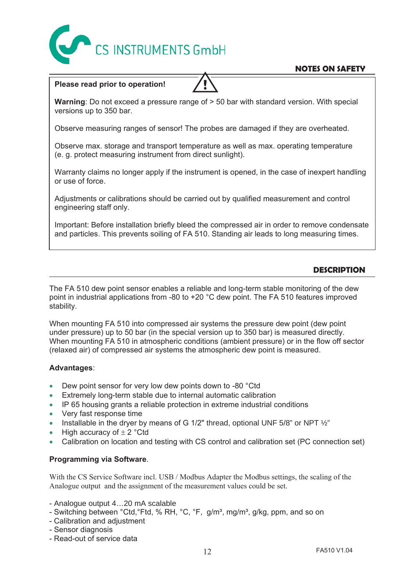

# **NOTES ON SAFETY**

# **Please read prior to operation!**

**Warning**: Do not exceed a pressure range of > 50 bar with standard version. With special versions up to 350 bar.

**!** 

Observe measuring ranges of sensor! The probes are damaged if they are overheated.

Observe max. storage and transport temperature as well as max. operating temperature (e. g. protect measuring instrument from direct sunlight).

Warranty claims no longer apply if the instrument is opened, in the case of inexpert handling or use of force.

Adjustments or calibrations should be carried out by qualified measurement and control engineering staff only.

Important: Before installation briefly bleed the compressed air in order to remove condensate and particles. This prevents soiling of FA 510. Standing air leads to long measuring times.

# **DESCRIPTION**

The FA 510 dew point sensor enables a reliable and long-term stable monitoring of the dew point in industrial applications from -80 to +20 °C dew point. The FA 510 features improved stability.

When mounting FA 510 into compressed air systems the pressure dew point (dew point under pressure) up to 50 bar (in the special version up to 350 bar) is measured directly. When mounting FA 510 in atmospheric conditions (ambient pressure) or in the flow off sector (relaxed air) of compressed air systems the atmospheric dew point is measured.

## **Advantages**:

- $\bullet$  Dew point sensor for very low dew points down to -80 °Ctd
- Extremely long-term stable due to internal automatic calibration
- $\bullet$  IP 65 housing grants a reliable protection in extreme industrial conditions
- Very fast response time
- **Installable in the dryer by means of G 1/2" thread, optional UNF 5/8" or NPT**  $\frac{1}{2}$ **"**
- High accuracy of  $\pm$  2 °Ctd
- Calibration on location and testing with CS control and calibration set (PC connection set)

## **Programming via Software**.

With the CS Service Software incl. USB / Modbus Adapter the Modbus settings, the scaling of the Analogue output and the assignment of the measurement values could be set.

- Analogue output 4…20 mA scalable
- Switching between °Ctd, °Ftd, % RH, °C, °F, g/m<sup>3</sup>, mg/m<sup>3</sup>, g/kg, ppm, and so on
- Calibration and adjustment
- Sensor diagnosis
- Read-out of service data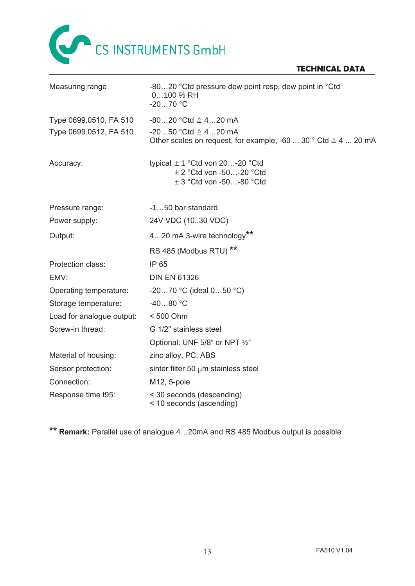

# **TECHNICAL DATA**

| Measuring range           | -8020 °Ctd pressure dew point resp. dew point in °Ctd<br>0100 % RH<br>$-2070$ °C                                 |
|---------------------------|------------------------------------------------------------------------------------------------------------------|
| Type 0699.0510, FA 510    | $-8020$ °Ctd $\triangleq$ 420 mA                                                                                 |
| Type 0699.0512, FA 510    | $-2050$ °Ctd $\triangle 420$ mA<br>Other scales on request, for example, -60  30 $^{\circ}$ Ctd $\cong$ 4  20 mA |
| Accuracy:                 | typical $\pm$ 1 °Ctd von 20-20 °Ctd<br>$\pm$ 2 °Ctd von -50-20 °Ctd<br>$\pm$ 3 °Ctd von -50-80 °Ctd              |
| Pressure range:           | -150 bar standard                                                                                                |
| Power supply:             | 24V VDC (1030 VDC)                                                                                               |
| Output:                   | 420 mA 3-wire technology**                                                                                       |
|                           | RS 485 (Modbus RTU) **                                                                                           |
| Protection class:         | IP 65                                                                                                            |
| EMV:                      | <b>DIN EN 61326</b>                                                                                              |
| Operating temperature:    | -2070 °C (ideal $050$ °C)                                                                                        |
| Storage temperature:      | $-4080 °C$                                                                                                       |
| Load for analogue output: | < 500 Ohm                                                                                                        |
| Screw-in thread:          | G 1/2" stainless steel                                                                                           |
|                           | Optional: UNF 5/8" or NPT 1/2"                                                                                   |
| Material of housing:      | zinc alloy, PC, ABS                                                                                              |
| Sensor protection:        | sinter filter 50 $\mu$ m stainless steel                                                                         |
| Connection:               | M12, 5-pole                                                                                                      |
| Response time t95:        | < 30 seconds (descending)<br>< 10 seconds (ascending)                                                            |

**\*\* Remark:** Parallel use of analogue 4…20mA and RS 485 Modbus output is possible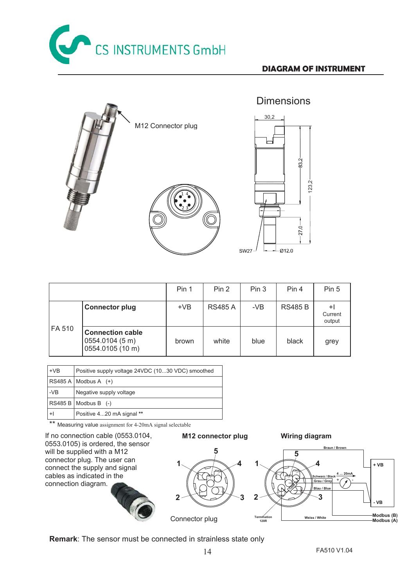

123,2



|        |                                                                | Pin 1 | Pin 2          | Pin 3 | Pin 4          | Pin 5                     |
|--------|----------------------------------------------------------------|-------|----------------|-------|----------------|---------------------------|
| FA 510 | <b>Connector plug</b>                                          | $+VB$ | <b>RS485 A</b> | -VB   | <b>RS485 B</b> | $+1$<br>Current<br>output |
|        | <b>Connection cable</b><br>0554.0104 (5 m)<br>0554.0105 (10 m) | brown | white          | blue  | black          | grey                      |

| $+VB$ | Positive supply voltage 24VDC (1030 VDC) smoothed |
|-------|---------------------------------------------------|
|       | $RS485A$ Modbus A $(+)$                           |
| $-VB$ | Negative supply voltage                           |
|       | $RS485 B$ Modbus B (-)                            |
| $+1$  | Positive 420 mA signal **                         |

\*\* Measuring value assignment for 4-20mA signal selectable

If no connection cable (0553.0104, 0553.0105) is ordered, the sensor will be supplied with a M12 connector plug. The user can connect the supply and signal cables as indicated in the connection diagram.



**M12 connector plug Wiring diagram** 



**Remark**: The sensor must be connected in strainless state only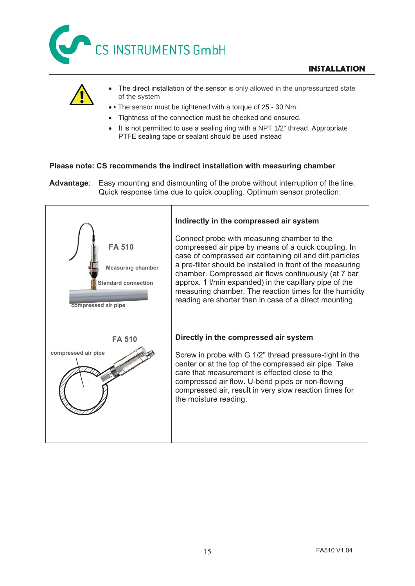



- The direct installation of the sensor is only allowed in the unpressurized state of the system
- • The sensor must be tightened with a torque of 25 30 Nm.
- Tightness of the connection must be checked and ensured.
- It is not permitted to use a sealing ring with a NPT 1/2" thread. Appropriate PTFE sealing tape or sealant should be used instead

# **Please note: CS recommends the indirect installation with measuring chamber**

**Advantage**: Easy mounting and dismounting of the probe without interruption of the line. Quick response time due to quick coupling. Optimum sensor protection.

| <b>FA 510</b><br><b>Measuring chamber</b><br><b>Standard connection</b><br>compressed air pipe | Indirectly in the compressed air system<br>Connect probe with measuring chamber to the<br>compressed air pipe by means of a quick coupling. In<br>case of compressed air containing oil and dirt particles<br>a pre-filter should be installed in front of the measuring<br>chamber. Compressed air flows continuously (at 7 bar<br>approx. 1 I/min expanded) in the capillary pipe of the<br>measuring chamber. The reaction times for the humidity<br>reading are shorter than in case of a direct mounting. |
|------------------------------------------------------------------------------------------------|----------------------------------------------------------------------------------------------------------------------------------------------------------------------------------------------------------------------------------------------------------------------------------------------------------------------------------------------------------------------------------------------------------------------------------------------------------------------------------------------------------------|
| <b>FA 510</b><br>compressed air pipe                                                           | Directly in the compressed air system<br>Screw in probe with G 1/2" thread pressure-tight in the<br>center or at the top of the compressed air pipe. Take<br>care that measurement is effected close to the<br>compressed air flow. U-bend pipes or non-flowing<br>compressed air, result in very slow reaction times for<br>the moisture reading.                                                                                                                                                             |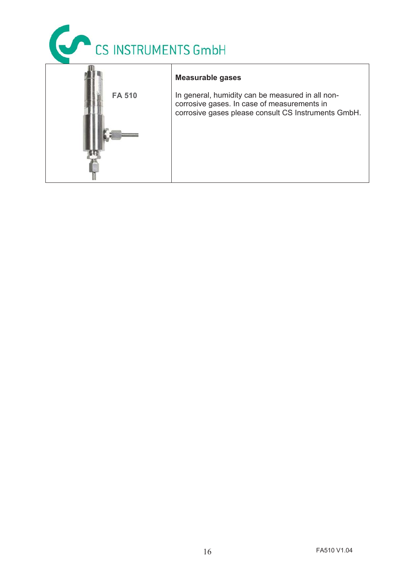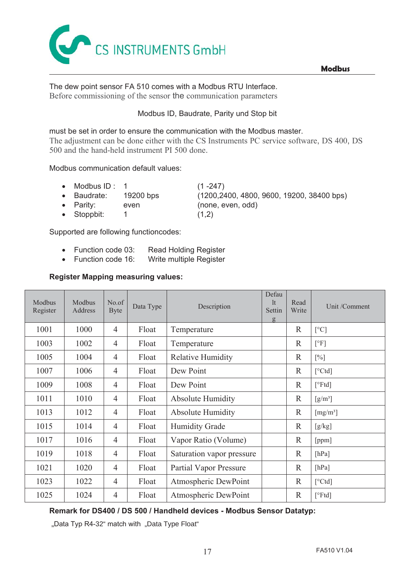

# The dew point sensor FA 510 comes with a Modbus RTU Interface. Before commissioning of the sensor the communication parameters

# Modbus ID, Baudrate, Parity und Stop bit

# must be set in order to ensure the communication with the Modbus master.

The adjustment can be done either with the CS Instruments PC service software, DS 400, DS 500 and the hand-held instrument PI 500 done.

## Modbus communication default values:

- Modbus ID :  $1$  (1 -247)
- 
- Parity: even (none, even, odd)
- Stoppbit:  $1$  (1,2)

x Baudrate: 19200 bps (1200,2400, 4800, 9600, 19200, 38400 bps)

Supported are following functioncodes:

- Function code 03: Read Holding Register
- Function code 16: Write multiple Register

# **Register Mapping measuring values:**

| Modbus<br>Register | Modbus<br>Address | No.of<br><b>Byte</b> | Data Type | Description                   | Defau<br>It<br>Settin<br>g | Read<br>Write | Unit /Comment                |
|--------------------|-------------------|----------------------|-----------|-------------------------------|----------------------------|---------------|------------------------------|
| 1001               | 1000              | $\overline{4}$       | Float     | Temperature                   |                            | $\mathbb{R}$  | [°C]                         |
| 1003               | 1002              | $\overline{4}$       | Float     | Temperature                   |                            | $\mathbb{R}$  | [°F]                         |
| 1005               | 1004              | $\overline{4}$       | Float     | <b>Relative Humidity</b>      |                            | $\mathbb{R}$  | $[\%]$                       |
| 1007               | 1006              | $\overline{4}$       | Float     | Dew Point                     |                            | $\mathbb{R}$  | [°Ctd]                       |
| 1009               | 1008              | $\overline{4}$       | Float     | Dew Point                     |                            | $\mathbb{R}$  | $\lceil$ <sup>o</sup> Ftd]   |
| 1011               | 1010              | $\overline{4}$       | Float     | <b>Absolute Humidity</b>      |                            | $\mathbb{R}$  | $\left[\frac{g}{m^3}\right]$ |
| 1013               | 1012              | $\overline{4}$       | Float     | <b>Absolute Humidity</b>      |                            | $\mathbb{R}$  | [mg/m <sup>3</sup> ]         |
| 1015               | 1014              | $\overline{4}$       | Float     | <b>Humidity Grade</b>         |                            | $\mathbb{R}$  | [g/kg]                       |
| 1017               | 1016              | $\overline{4}$       | Float     | Vapor Ratio (Volume)          |                            | $\mathbb{R}$  | [ppm]                        |
| 1019               | 1018              | $\overline{4}$       | Float     | Saturation vapor pressure     |                            | $\mathbb{R}$  | [hPa]                        |
| 1021               | 1020              | $\overline{4}$       | Float     | <b>Partial Vapor Pressure</b> |                            | $\mathbb{R}$  | [hPa]                        |
| 1023               | 1022              | $\overline{4}$       | Float     | Atmospheric DewPoint          |                            | $\mathbb{R}$  | [°Ctd]                       |
| 1025               | 1024              | $\overline{4}$       | Float     | Atmospheric DewPoint          |                            | $\mathbb{R}$  | [°Ftd]                       |

# **Remark for DS400 / DS 500 / Handheld devices - Modbus Sensor Datatyp:**

"Data Typ R4-32" match with "Data Type Float"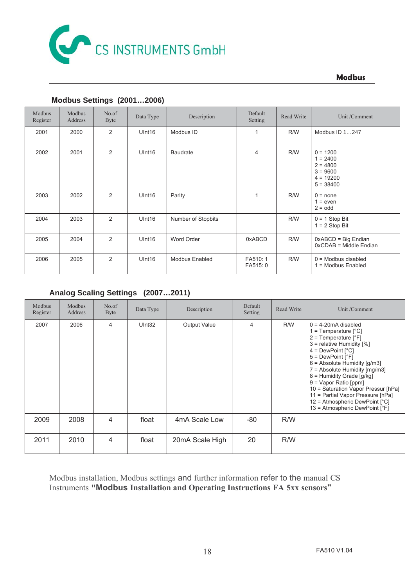

**Modbus** 

| Modbus<br>Register | Modbus<br>Address | No.of<br><b>Byte</b> | Data Type          | Description           | Default<br>Setting   | Read Write | Unit /Comment                                                                      |
|--------------------|-------------------|----------------------|--------------------|-----------------------|----------------------|------------|------------------------------------------------------------------------------------|
| 2001               | 2000              | 2                    | UInt16             | Modbus ID             | $\mathbf{1}$         | R/W        | Modbus ID 1247                                                                     |
| 2002               | 2001              | 2                    | U <sub>Int16</sub> | <b>Baudrate</b>       | $\overline{4}$       | R/W        | $0 = 1200$<br>$1 = 2400$<br>$2 = 4800$<br>$3 = 9600$<br>$4 = 19200$<br>$5 = 38400$ |
| 2003               | 2002              | $\overline{2}$       | U <sub>Int16</sub> | Parity                | 1                    | R/W        | $0 = none$<br>$1 = even$<br>$2 =$ odd                                              |
| 2004               | 2003              | 2                    | U <sub>Int16</sub> | Number of Stopbits    |                      | R/W        | $0 = 1$ Stop Bit<br>$1 = 2$ Stop Bit                                               |
| 2005               | 2004              | $\overline{2}$       | UInt16             | <b>Word Order</b>     | 0xABCD               | R/W        | 0xABCD = Big Endian<br>$0xCDAB = Middle Endian$                                    |
| 2006               | 2005              | 2                    | U <sub>Int16</sub> | <b>Modbus Enabled</b> | FA510: 1<br>FA515: 0 | R/W        | $0 =$ Modbus disabled<br>= Modbus Enabled<br>1                                     |

# **Modbus Settings (2001…2006)**

# **Analog Scaling Settings (2007…2011)**

| Modbus<br>Register | Modbus<br>Address | No.of<br>Byte | Data Type | Description     | Default<br>Setting | Read Write | Unit /Comment                                                                                                                                                                                                                                                                                                                                                                                                                                                        |
|--------------------|-------------------|---------------|-----------|-----------------|--------------------|------------|----------------------------------------------------------------------------------------------------------------------------------------------------------------------------------------------------------------------------------------------------------------------------------------------------------------------------------------------------------------------------------------------------------------------------------------------------------------------|
| 2007               | 2006              | 4             | UInt32    | Output Value    | 4                  | R/W        | $0 = 4-20$ mA disabled<br>1 = Temperature $[^{\circ}C]$<br>$2 =$ Temperature [ $\degree$ F]<br>3 = relative Humidity [%]<br>$4 = DewPoint [°C]$<br>$5 = DewPoint [°F]$<br>$6 =$ Absolute Humidity $[g/m3]$<br>$7 =$ Absolute Humidity $[mg/m3]$<br>8 = Humidity Grade [g/kg]<br>9 = Vapor Ratio [ppm]<br>10 = Saturation Vapor Pressur [hPa]<br>11 = Partial Vapor Pressure [hPa]<br>$12$ = Atmospheric DewPoint $[^{\circ}C]$<br>$13$ = Atmospheric DewPoint $[°F]$ |
| 2009               | 2008              | 4             | float     | 4mA Scale Low   | -80                | R/W        |                                                                                                                                                                                                                                                                                                                                                                                                                                                                      |
| 2011               | 2010              | 4             | float     | 20mA Scale High | 20                 | R/W        |                                                                                                                                                                                                                                                                                                                                                                                                                                                                      |

Modbus installation, Modbus settings and further information refer to the manual CS Instruments **"Modbus Installation and Operating Instructions FA 5xx sensors"**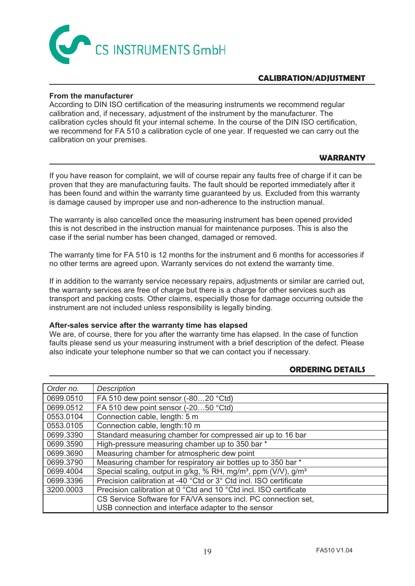

# **CALIBRATION/ADJUSTMENT**

## **From the manufacturer**

According to DIN ISO certification of the measuring instruments we recommend regular calibration and, if necessary, adjustment of the instrument by the manufacturer. The calibration cycles should fit your internal scheme. In the course of the DIN ISO certification, we recommend for FA 510 a calibration cycle of one year. If requested we can carry out the calibration on your premises.

## **WARRANTY**

If you have reason for complaint, we will of course repair any faults free of charge if it can be proven that they are manufacturing faults. The fault should be reported immediately after it has been found and within the warranty time guaranteed by us. Excluded from this warranty is damage caused by improper use and non-adherence to the instruction manual.

The warranty is also cancelled once the measuring instrument has been opened provided this is not described in the instruction manual for maintenance purposes. This is also the case if the serial number has been changed, damaged or removed.

The warranty time for FA 510 is 12 months for the instrument and 6 months for accessories if no other terms are agreed upon. Warranty services do not extend the warranty time.

If in addition to the warranty service necessary repairs, adjustments or similar are carried out, the warranty services are free of charge but there is a charge for other services such as transport and packing costs. Other claims, especially those for damage occurring outside the instrument are not included unless responsibility is legally binding.

#### **After-sales service after the warranty time has elapsed**

We are, of course, there for you after the warranty time has elapsed. In the case of function faults please send us your measuring instrument with a brief description of the defect. Please also indicate your telephone number so that we can contact you if necessary.

## **ORDERING DETAILS**

| Order no. | Description                                                                            |
|-----------|----------------------------------------------------------------------------------------|
| 0699.0510 | FA 510 dew point sensor (-8020 °Ctd)                                                   |
| 0699.0512 | FA 510 dew point sensor (-2050 °Ctd)                                                   |
| 0553.0104 | Connection cable, length: 5 m                                                          |
| 0553.0105 | Connection cable, length: 10 m                                                         |
| 0699.3390 | Standard measuring chamber for compressed air up to 16 bar                             |
| 0699.3590 | High-pressure measuring chamber up to 350 bar *                                        |
| 0699.3690 | Measuring chamber for atmospheric dew point                                            |
| 0699.3790 | Measuring chamber for respiratory air bottles up to 350 bar *                          |
| 0699.4004 | Special scaling, output in g/kg, % RH, mg/m <sup>3</sup> , ppm (V/V), g/m <sup>3</sup> |
| 0699.3396 | Precision calibration at -40 °Ctd or 3° Ctd incl. ISO certificate                      |
| 3200.0003 | Precision calibration at 0 °Ctd and 10 °Ctd incl. ISO certificate                      |
|           | CS Service Software for FA/VA sensors incl. PC connection set,                         |
|           | USB connection and interface adapter to the sensor                                     |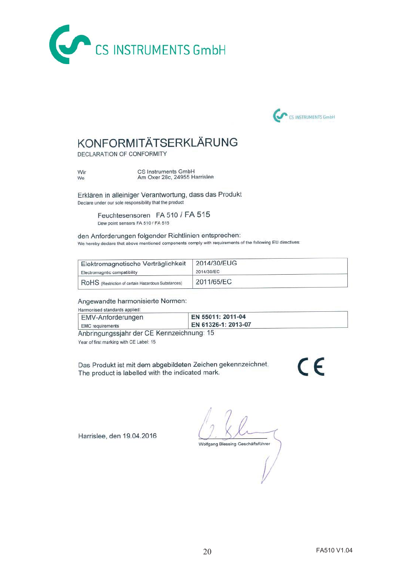



# KONFORMITÄTSERKLÄRUNG

DECLARATION OF CONFORMITY

Wir We

CS Instruments GmbH<br>Am Oxer 28c, 24955 Harrislee

Erklären in alleiniger Verantwortung, dass das Produkt Declare under our sole responsibility that the product

> Feuchtesensoren FA 510 / FA 515 Dew point sensors FA 510 / FA 515

den Anforderungen folgender Richtlinien entsprechen: We hereby declare that above mentioned components comply with requirements of the following EU directives:

| Elektromagnetische Verträglichkeit                 | 2014/30/EUG |
|----------------------------------------------------|-------------|
| Electromagntic compatibility                       | 2014/30/EC  |
| RoHS (Restriction of certain Hazardous Substances) | 2011/65/EC  |

Angewandte harmonisierte Normen:

Harmonised standards applied:

| EMV-Anforderungen       | EN 55011: 2011-04   |  |
|-------------------------|---------------------|--|
| <b>EMC</b> requirements | EN 61326-1: 2013-07 |  |
|                         |                     |  |

Anbringungssjahr der CE Kennzeichnung: 15

Year of first marking with CE Label: 15

Das Produkt ist mit dem abgebildeten Zeichen gekennzeichnet. The product is labelled with the indicated mark.

 $\epsilon$ 

Harrislee, den 19.04.2016

Wolfgang Blessing Geschäftsführer